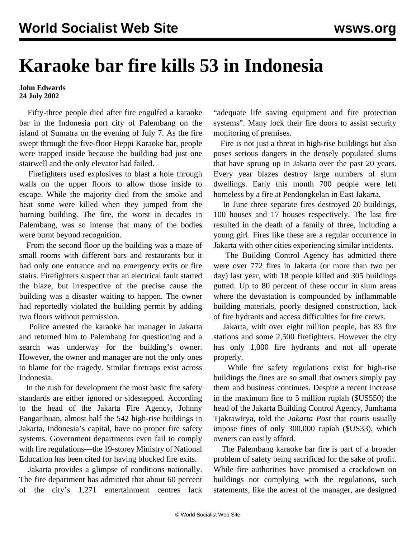## **Karaoke bar fire kills 53 in Indonesia**

## **John Edwards 24 July 2002**

 Fifty-three people died after fire engulfed a karaoke bar in the Indonesia port city of Palembang on the island of Sumatra on the evening of July 7. As the fire swept through the five-floor Heppi Karaoke bar, people were trapped inside because the building had just one stairwell and the only elevator had failed.

 Firefighters used explosives to blast a hole through walls on the upper floors to allow those inside to escape. While the majority died from the smoke and heat some were killed when they jumped from the burning building. The fire, the worst in decades in Palembang, was so intense that many of the bodies were burnt beyond recognition.

 From the second floor up the building was a maze of small rooms with different bars and restaurants but it had only one entrance and no emergency exits or fire stairs. Firefighters suspect that an electrical fault started the blaze, but irrespective of the precise cause the building was a disaster waiting to happen. The owner had reportedly violated the building permit by adding two floors without permission.

 Police arrested the karaoke bar manager in Jakarta and returned him to Palembang for questioning and a search was underway for the building's owner. However, the owner and manager are not the only ones to blame for the tragedy. Similar firetraps exist across Indonesia.

 In the rush for development the most basic fire safety standards are either ignored or sidestepped. According to the head of the Jakarta Fire Agency, Johnny Pangaribuan, almost half the 542 high-rise buildings in Jakarta, Indonesia's capital, have no proper fire safety systems. Government departments even fail to comply with fire regulations—the 19-storey Ministry of National Education has been cited for having blocked fire exits.

 Jakarta provides a glimpse of conditions nationally. The fire department has admitted that about 60 percent of the city's 1,271 entertainment centres lack "adequate life saving equipment and fire protection systems". Many lock their fire doors to assist security monitoring of premises.

 Fire is not just a threat in high-rise buildings but also poses serious dangers in the densely populated slums that have sprung up in Jakarta over the past 20 years. Every year blazes destroy large numbers of slum dwellings. Early this month 700 people were left homeless by a fire at Pendongkelan in East Jakarta.

 In June three separate fires destroyed 20 buildings, 100 houses and 17 houses respectively. The last fire resulted in the death of a family of three, including a young girl. Fires like these are a regular occurrence in Jakarta with other cities experiencing similar incidents.

 The Building Control Agency has admitted there were over 772 fires in Jakarta (or more than two per day) last year, with 18 people killed and 305 buildings gutted. Up to 80 percent of these occur in slum areas where the devastation is compounded by inflammable building materials, poorly designed construction, lack of fire hydrants and access difficulties for fire crews.

 Jakarta, with over eight million people, has 83 fire stations and some 2,500 firefighters. However the city has only 1,000 fire hydrants and not all operate properly.

 While fire safety regulations exist for high-rise buildings the fines are so small that owners simply pay them and business continues. Despite a recent increase in the maximum fine to 5 million rupiah (\$US550) the head of the Jakarta Building Control Agency, Jumhama Tjakrawirya, told the *Jakarta Post* that courts usually impose fines of only 300,000 rupiah (\$US33), which owners can easily afford.

 The Palembang karaoke bar fire is part of a broader problem of safety being sacrificed for the sake of profit. While fire authorities have promised a crackdown on buildings not complying with the regulations, such statements, like the arrest of the manager, are designed